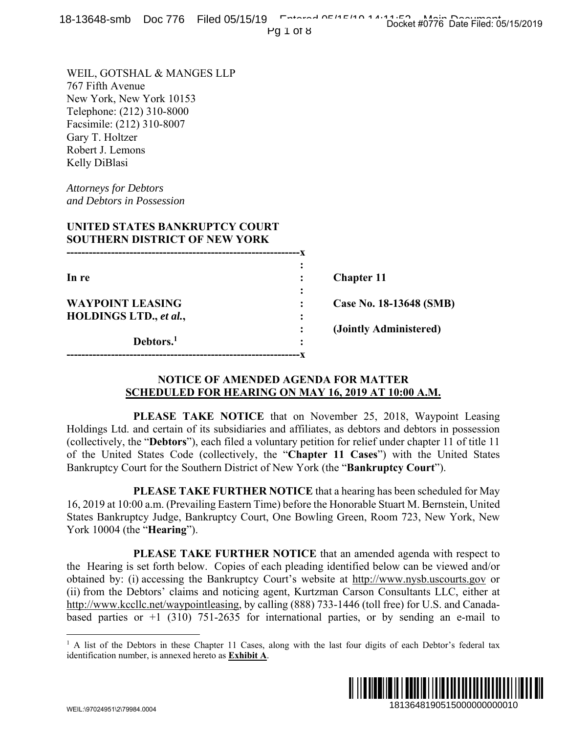Pg 1 of 8

WEIL, GOTSHAL & MANGES LLP 767 Fifth Avenue New York, New York 10153 Telephone: (212) 310-8000 Facsimile: (212) 310-8007 Gary T. Holtzer Robert J. Lemons Kelly DiBlasi

*Attorneys for Debtors and Debtors in Possession* 

# **UNITED STATES BANKRUPTCY COURT SOUTHERN DISTRICT OF NEW YORK**

| In re                   |   | <b>Chapter 11</b>       |
|-------------------------|---|-------------------------|
|                         | ٠ |                         |
| <b>WAYPOINT LEASING</b> |   | Case No. 18-13648 (SMB) |
| HOLDINGS LTD., et al.,  | ٠ |                         |
|                         |   | (Jointly Administered)  |
| Debtors. <sup>1</sup>   | ٠ |                         |
|                         |   |                         |

### **NOTICE OF AMENDED AGENDA FOR MATTER SCHEDULED FOR HEARING ON MAY 16, 2019 AT 10:00 A.M.**

 **PLEASE TAKE NOTICE** that on November 25, 2018, Waypoint Leasing Holdings Ltd. and certain of its subsidiaries and affiliates, as debtors and debtors in possession (collectively, the "**Debtors**"), each filed a voluntary petition for relief under chapter 11 of title 11 of the United States Code (collectively, the "**Chapter 11 Cases**") with the United States Bankruptcy Court for the Southern District of New York (the "**Bankruptcy Court**").

 **PLEASE TAKE FURTHER NOTICE** that a hearing has been scheduled for May 16, 2019 at 10:00 a.m. (Prevailing Eastern Time) before the Honorable Stuart M. Bernstein, United States Bankruptcy Judge, Bankruptcy Court, One Bowling Green, Room 723, New York, New York 10004 (the "**Hearing**").

 **PLEASE TAKE FURTHER NOTICE** that an amended agenda with respect to the Hearing is set forth below. Copies of each pleading identified below can be viewed and/or obtained by: (i) accessing the Bankruptcy Court's website at http://www.nysb.uscourts.gov or (ii) from the Debtors' claims and noticing agent, Kurtzman Carson Consultants LLC, either at http://www.kccllc.net/waypointleasing, by calling (888) 733-1446 (toll free) for U.S. and Canadabased parties or  $+1$  (310) 751-2635 for international parties, or by sending an e-mail to **18148 (SMB)**<br> **18148 (SMB)**<br> **18148 (SMB)**<br> **1918**, Waypoint Leasing<br> **1018**, Waypoint Leasing<br>
and debtors in possession<br>
and debtors in possession<br>
and debtors in possession<br>
such the United States<br> **1923**, New York, N

<sup>&</sup>lt;sup>1</sup> A list of the Debtors in these Chapter 11 Cases, along with the last four digits of each Debtor's federal tax identification number, is annexed hereto as **Exhibit A**.



 $\overline{a}$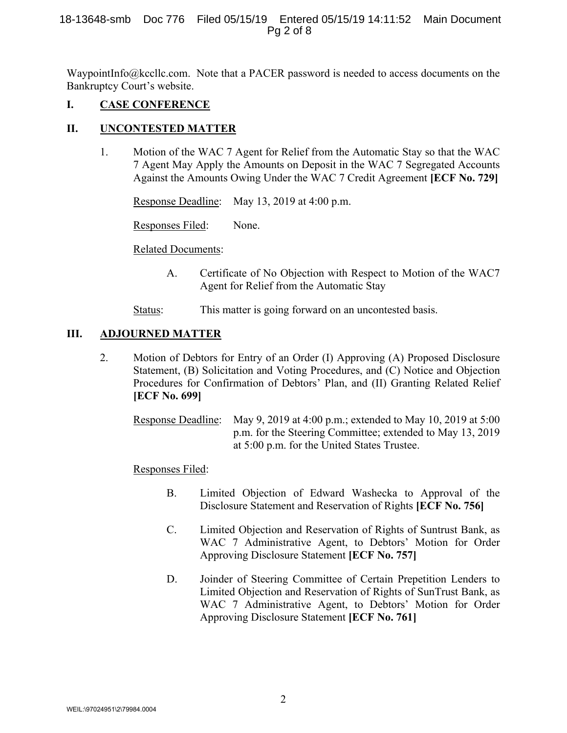#### 18-13648-smb Doc 776 Filed 05/15/19 Entered 05/15/19 14:11:52 Main Document Pg 2 of 8

WaypointInfo@kccllc.com. Note that a PACER password is needed to access documents on the Bankruptcy Court's website.

# **I. CASE CONFERENCE**

### **II. UNCONTESTED MATTER**

1. Motion of the WAC 7 Agent for Relief from the Automatic Stay so that the WAC 7 Agent May Apply the Amounts on Deposit in the WAC 7 Segregated Accounts Against the Amounts Owing Under the WAC 7 Credit Agreement **[ECF No. 729]**

Response Deadline: May 13, 2019 at 4:00 p.m.

Responses Filed: None.

Related Documents:

- A. Certificate of No Objection with Respect to Motion of the WAC7 Agent for Relief from the Automatic Stay
- Status: This matter is going forward on an uncontested basis.

### **III. ADJOURNED MATTER**

2. Motion of Debtors for Entry of an Order (I) Approving (A) Proposed Disclosure Statement, (B) Solicitation and Voting Procedures, and (C) Notice and Objection Procedures for Confirmation of Debtors' Plan, and (II) Granting Related Relief **[ECF No. 699]**

Response Deadline: May 9, 2019 at 4:00 p.m.; extended to May 10, 2019 at 5:00 p.m. for the Steering Committee; extended to May 13, 2019 at 5:00 p.m. for the United States Trustee.

#### Responses Filed:

- B. Limited Objection of Edward Washecka to Approval of the Disclosure Statement and Reservation of Rights **[ECF No. 756]**
- C. Limited Objection and Reservation of Rights of Suntrust Bank, as WAC 7 Administrative Agent, to Debtors' Motion for Order Approving Disclosure Statement **[ECF No. 757]**
- D. Joinder of Steering Committee of Certain Prepetition Lenders to Limited Objection and Reservation of Rights of SunTrust Bank, as WAC 7 Administrative Agent, to Debtors' Motion for Order Approving Disclosure Statement **[ECF No. 761]**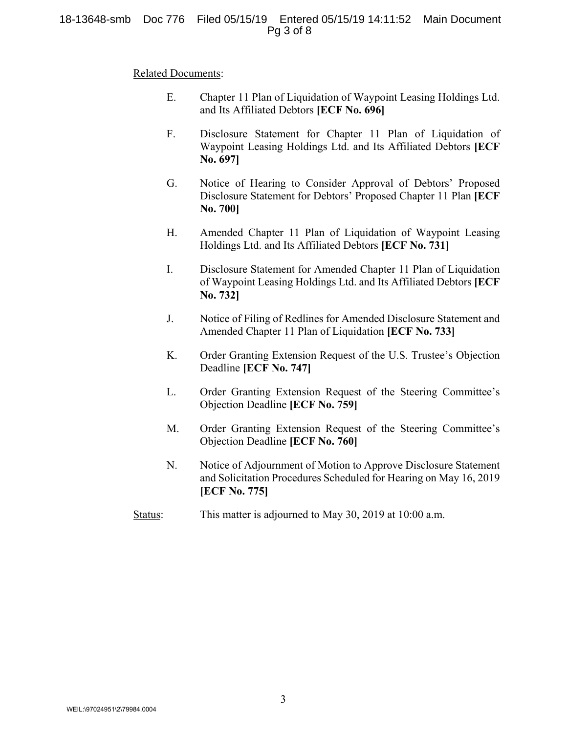### 18-13648-smb Doc 776 Filed 05/15/19 Entered 05/15/19 14:11:52 Main Document Pg 3 of 8

#### Related Documents:

- E. Chapter 11 Plan of Liquidation of Waypoint Leasing Holdings Ltd. and Its Affiliated Debtors **[ECF No. 696]**
- F. Disclosure Statement for Chapter 11 Plan of Liquidation of Waypoint Leasing Holdings Ltd. and Its Affiliated Debtors **[ECF No. 697]**
- G. Notice of Hearing to Consider Approval of Debtors' Proposed Disclosure Statement for Debtors' Proposed Chapter 11 Plan **[ECF No. 700]**
- H. Amended Chapter 11 Plan of Liquidation of Waypoint Leasing Holdings Ltd. and Its Affiliated Debtors **[ECF No. 731]**
- I. Disclosure Statement for Amended Chapter 11 Plan of Liquidation of Waypoint Leasing Holdings Ltd. and Its Affiliated Debtors **[ECF No. 732]**
- J. Notice of Filing of Redlines for Amended Disclosure Statement and Amended Chapter 11 Plan of Liquidation **[ECF No. 733]**
- K. Order Granting Extension Request of the U.S. Trustee's Objection Deadline **[ECF No. 747]**
- L. Order Granting Extension Request of the Steering Committee's Objection Deadline **[ECF No. 759]**
- M. Order Granting Extension Request of the Steering Committee's Objection Deadline **[ECF No. 760]**
- N. Notice of Adjournment of Motion to Approve Disclosure Statement and Solicitation Procedures Scheduled for Hearing on May 16, 2019 **[ECF No. 775]**
- Status: This matter is adjourned to May 30, 2019 at 10:00 a.m.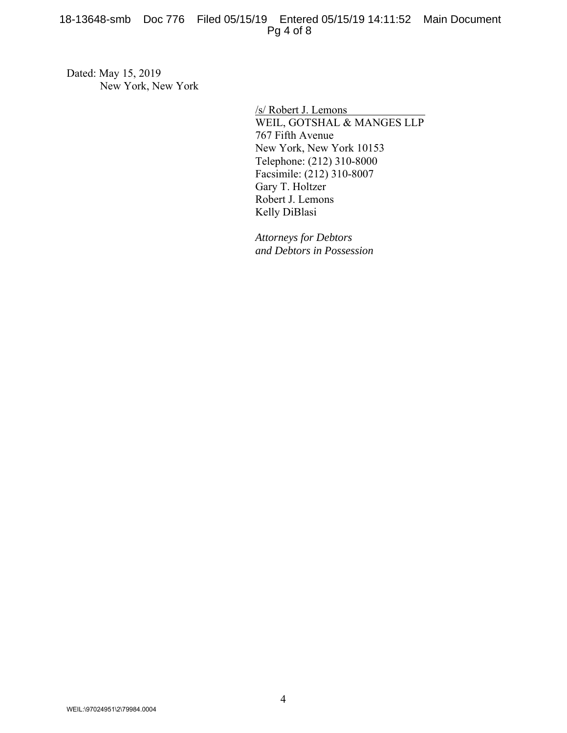Dated: May 15, 2019 New York, New York

> /s/ Robert J. Lemons WEIL, GOTSHAL & MANGES LLP 767 Fifth Avenue New York, New York 10153 Telephone: (212) 310-8000 Facsimile: (212) 310-8007 Gary T. Holtzer Robert J. Lemons Kelly DiBlasi

*Attorneys for Debtors and Debtors in Possession*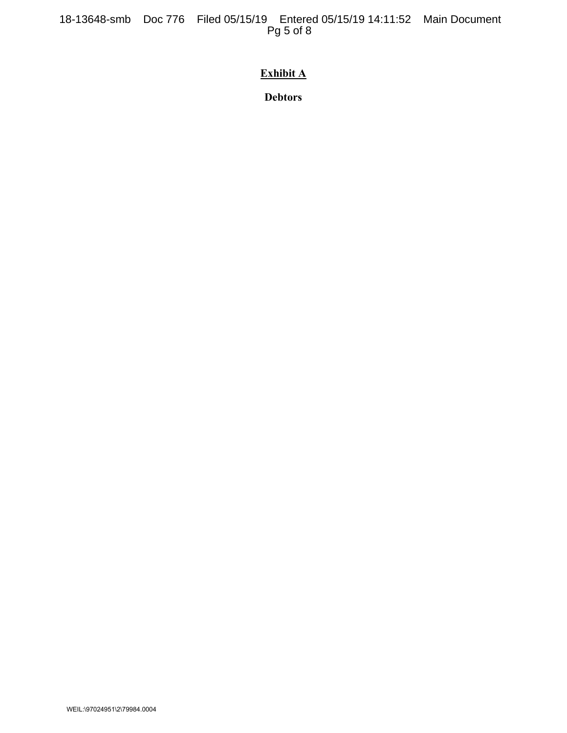18-13648-smb Doc 776 Filed 05/15/19 Entered 05/15/19 14:11:52 Main Document Pg 5 of 8

# **Exhibit A**

**Debtors**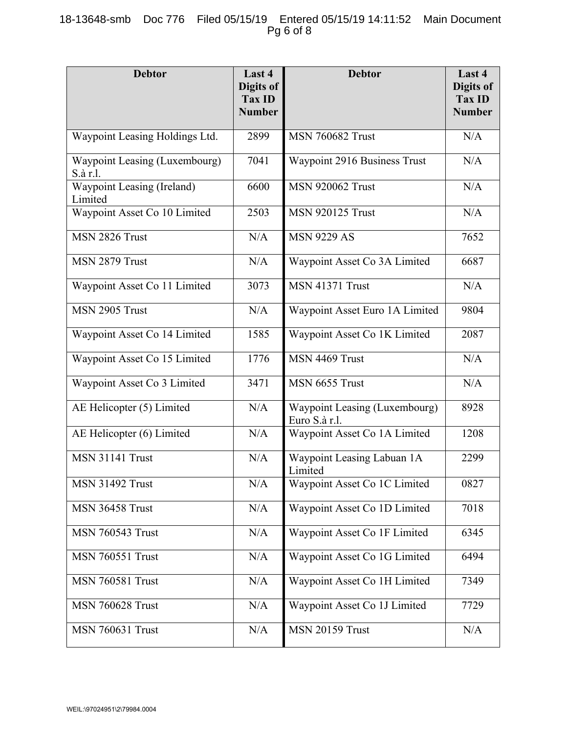# 18-13648-smb Doc 776 Filed 05/15/19 Entered 05/15/19 14:11:52 Main Document Pg 6 of 8

| <b>Debtor</b>                             | Last 4<br>Digits of<br><b>Tax ID</b><br><b>Number</b> | <b>Debtor</b>                                  | Last 4<br>Digits of<br><b>Tax ID</b><br><b>Number</b> |
|-------------------------------------------|-------------------------------------------------------|------------------------------------------------|-------------------------------------------------------|
| Waypoint Leasing Holdings Ltd.            | 2899                                                  | <b>MSN 760682 Trust</b>                        | N/A                                                   |
| Waypoint Leasing (Luxembourg)<br>S.à r.l. | 7041                                                  | Waypoint 2916 Business Trust                   | N/A                                                   |
| Waypoint Leasing (Ireland)<br>Limited     | 6600                                                  | <b>MSN 920062 Trust</b>                        | N/A                                                   |
| Waypoint Asset Co 10 Limited              | 2503                                                  | <b>MSN 920125 Trust</b>                        | N/A                                                   |
| MSN 2826 Trust                            | N/A                                                   | <b>MSN 9229 AS</b>                             | 7652                                                  |
| MSN 2879 Trust                            | N/A                                                   | Waypoint Asset Co 3A Limited                   | 6687                                                  |
| Waypoint Asset Co 11 Limited              | 3073                                                  | <b>MSN 41371 Trust</b>                         | N/A                                                   |
| MSN 2905 Trust                            | N/A                                                   | Waypoint Asset Euro 1A Limited                 | 9804                                                  |
| Waypoint Asset Co 14 Limited              | 1585                                                  | Waypoint Asset Co 1K Limited                   | 2087                                                  |
| Waypoint Asset Co 15 Limited              | 1776                                                  | MSN 4469 Trust                                 | N/A                                                   |
| Waypoint Asset Co 3 Limited               | 3471                                                  | MSN 6655 Trust                                 | N/A                                                   |
| AE Helicopter (5) Limited                 | N/A                                                   | Waypoint Leasing (Luxembourg)<br>Euro S.à r.l. | 8928                                                  |
| AE Helicopter (6) Limited                 | N/A                                                   | Waypoint Asset Co 1A Limited                   | 1208                                                  |
| <b>MSN 31141 Trust</b>                    | N/A                                                   | Waypoint Leasing Labuan 1A<br>Limited          | 2299                                                  |
| <b>MSN 31492 Trust</b>                    | N/A                                                   | Waypoint Asset Co 1C Limited                   | 0827                                                  |
| <b>MSN 36458 Trust</b>                    | N/A                                                   | Waypoint Asset Co 1D Limited                   | 7018                                                  |
| <b>MSN 760543 Trust</b>                   | N/A                                                   | Waypoint Asset Co 1F Limited                   | 6345                                                  |
| <b>MSN 760551 Trust</b>                   | N/A                                                   | Waypoint Asset Co 1G Limited                   | 6494                                                  |
| <b>MSN 760581 Trust</b>                   | N/A                                                   | Waypoint Asset Co 1H Limited                   | 7349                                                  |
| <b>MSN 760628 Trust</b>                   | N/A                                                   | Waypoint Asset Co 1J Limited                   | 7729                                                  |
| <b>MSN 760631 Trust</b>                   | N/A                                                   | <b>MSN 20159 Trust</b>                         | N/A                                                   |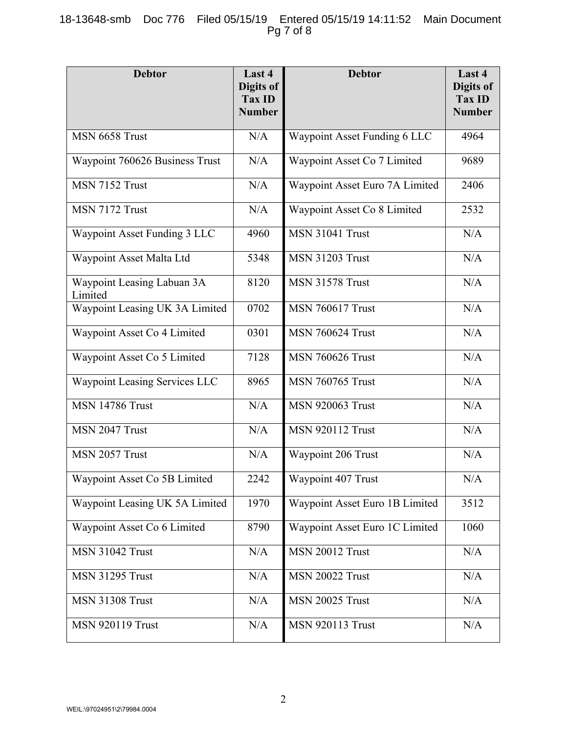# 18-13648-smb Doc 776 Filed 05/15/19 Entered 05/15/19 14:11:52 Main Document Pg 7 of 8

| <b>Debtor</b>                         | Last 4<br>Digits of<br>Tax ID<br><b>Number</b> | <b>Debtor</b>                  | Last 4<br>Digits of<br><b>Tax ID</b><br><b>Number</b> |
|---------------------------------------|------------------------------------------------|--------------------------------|-------------------------------------------------------|
| MSN 6658 Trust                        | N/A                                            | Waypoint Asset Funding 6 LLC   | 4964                                                  |
| Waypoint 760626 Business Trust        | N/A                                            | Waypoint Asset Co 7 Limited    | 9689                                                  |
| MSN 7152 Trust                        | N/A                                            | Waypoint Asset Euro 7A Limited | 2406                                                  |
| MSN 7172 Trust                        | N/A                                            | Waypoint Asset Co 8 Limited    | 2532                                                  |
| Waypoint Asset Funding 3 LLC          | 4960                                           | <b>MSN 31041 Trust</b>         | N/A                                                   |
| Waypoint Asset Malta Ltd              | 5348                                           | <b>MSN 31203 Trust</b>         | N/A                                                   |
| Waypoint Leasing Labuan 3A<br>Limited | 8120                                           | <b>MSN 31578 Trust</b>         | N/A                                                   |
| Waypoint Leasing UK 3A Limited        | 0702                                           | <b>MSN 760617 Trust</b>        | N/A                                                   |
| Waypoint Asset Co 4 Limited           | 0301                                           | <b>MSN 760624 Trust</b>        | N/A                                                   |
| Waypoint Asset Co 5 Limited           | 7128                                           | <b>MSN 760626 Trust</b>        | N/A                                                   |
| Waypoint Leasing Services LLC         | 8965                                           | <b>MSN 760765 Trust</b>        | N/A                                                   |
| <b>MSN 14786 Trust</b>                | N/A                                            | <b>MSN 920063 Trust</b>        | N/A                                                   |
| MSN 2047 Trust                        | N/A                                            | <b>MSN 920112 Trust</b>        | N/A                                                   |
| MSN 2057 Trust                        | N/A                                            | Waypoint 206 Trust             | N/A                                                   |
| Waypoint Asset Co 5B Limited          | 2242                                           | Waypoint 407 Trust             | $\rm N/A$                                             |
| Waypoint Leasing UK 5A Limited        | 1970                                           | Waypoint Asset Euro 1B Limited | 3512                                                  |
| Waypoint Asset Co 6 Limited           | 8790                                           | Waypoint Asset Euro 1C Limited | 1060                                                  |
| <b>MSN 31042 Trust</b>                | N/A                                            | <b>MSN 20012 Trust</b>         | $\rm N/A$                                             |
| <b>MSN 31295 Trust</b>                | N/A                                            | <b>MSN 20022 Trust</b>         | N/A                                                   |
| <b>MSN 31308 Trust</b>                | N/A                                            | <b>MSN 20025 Trust</b>         | N/A                                                   |
| <b>MSN 920119 Trust</b>               | N/A                                            | <b>MSN 920113 Trust</b>        | N/A                                                   |